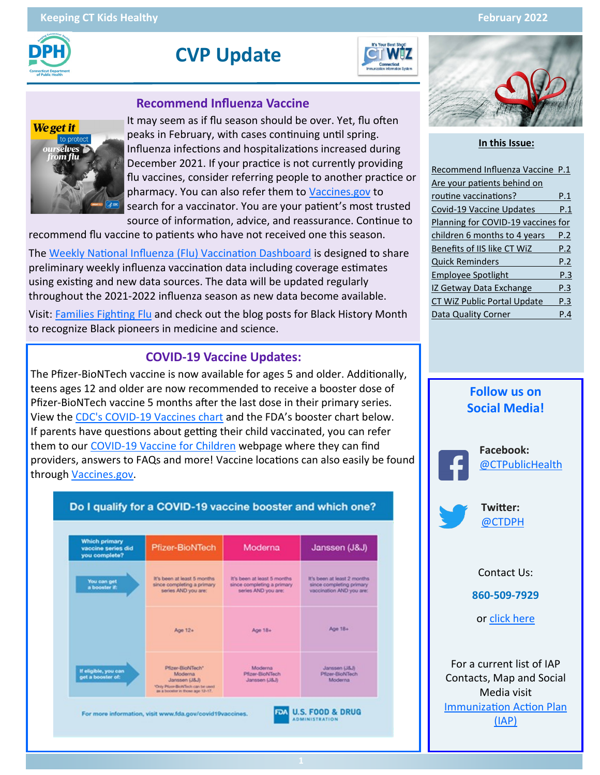

# **CVP Update**



#### **Recommend Influenza Vaccine**



It may seem as if flu season should be over. Yet, flu often peaks in February, with cases continuing until spring. Influenza infections and hospitalizations increased during December 2021. If your practice is not currently providing flu vaccines, consider referring people to another practice or pharmacy. You can also refer them to [Vaccines.gov](https://www.vaccines.gov/) to search for a vaccinator. You are your patient's most trusted source of information, advice, and reassurance. Continue to

recommend flu vaccine to patients who have not received one this season.

The [Weekly National Influenza \(Flu\) Vaccination Dashboard](https://www.cdc.gov/flu/fluvaxview/dashboard/vaccination-dashboard.html) is designed to share preliminary weekly influenza vaccination data including coverage estimates using existing and new data sources. The data will be updated regularly throughout the 2021-2022 influenza season as new data become available.

Visit: [Families Fighting Flu](https://www.familiesfightingflu.org/) and check out the blog posts for Black History Month to recognize Black pioneers in medicine and science.

#### **COVID-19 Vaccine Updates:**

The Pfizer-BioNTech vaccine is now available for ages 5 and older. Additionally, teens ages 12 and older are now recommended to receive a booster dose of Pfizer-BioNTech vaccine 5 months after the last dose in their primary series. View the CDC's COVID-[19 Vaccines chart](https://www.cdc.gov/coronavirus/2019-ncov/vaccines/different-vaccines.html) and the FDA's booster chart below. If parents have questions about getting their child vaccinated, you can refer them to our COVID-[19 Vaccine for Children](https://portal.ct.gov/vaccine-portal/kids?language=en_US) webpage where they can find providers, answers to FAQs and more! Vaccine locations can also easily be found through [Vaccines.gov.](https://www.vaccines.gov/) 

Do I qualify for a COVID-19 vaccine booster and which one?





#### **In this Issue:**

| Recommend Influenza Vaccine P.1    |     |
|------------------------------------|-----|
| Are your patients behind on        |     |
| routine vaccinations?              | P.1 |
| Covid-19 Vaccine Updates           | P.1 |
| Planning for COVID-19 vaccines for |     |
| children 6 months to 4 years       | P.2 |
| Benefits of IIS like CT WiZ        | P.2 |
| <b>Quick Reminders</b>             | P.2 |
| <b>Employee Spotlight</b>          | P.3 |
| <b>IZ Getway Data Exchange</b>     | P.3 |
| <b>CT WiZ Public Portal Update</b> | P.3 |
| Data Quality Corner                | Р.4 |



Media visit [Immunization Action Plan](https://portal.ct.gov/DPH/Immunizations/Immunization-Action-Plan-IAP)  [\(IAP\)](https://portal.ct.gov/DPH/Immunizations/Immunization-Action-Plan-IAP)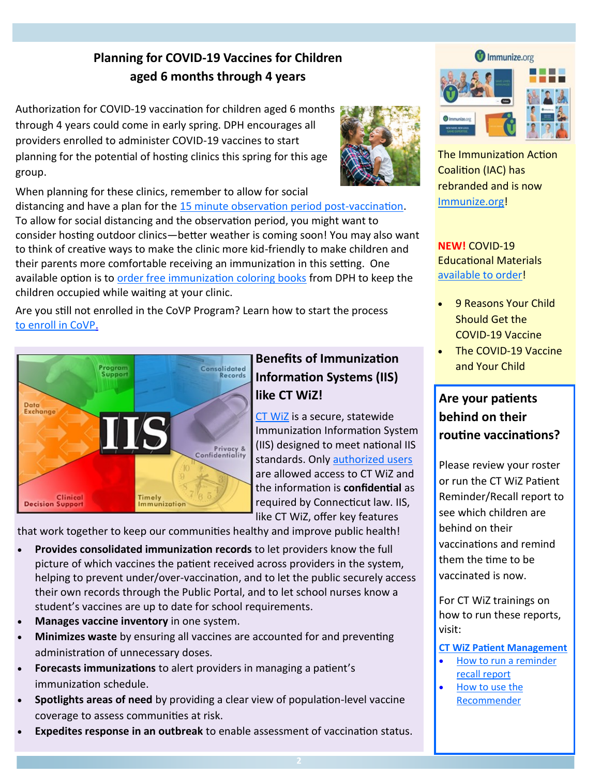## **Planning for COVID-19 Vaccines for Children aged 6 months through 4 years**

Authorization for COVID-19 vaccination for children aged 6 months through 4 years could come in early spring. DPH encourages all providers enrolled to administer COVID-19 vaccines to start planning for the potential of hosting clinics this spring for this age group.

When planning for these clinics, remember to allow for social

distancing and have a plan for the [15 minute observation period post](https://www.cdc.gov/vaccines/covid-19/clinical-considerations/managing-anaphylaxis.html)-vaccination. To allow for social distancing and the observation period, you might want to consider hosting outdoor clinics—better weather is coming soon! You may also want to think of creative ways to make the clinic more kid-friendly to make children and their parents more comfortable receiving an immunization in this setting. One available option is to [order free immunization coloring books](https://portal.ct.gov/-/media/Departments-and-Agencies/DPH/dph/infectious_diseases/immunization/CIRTS/Education-Materials-Order-Form---By-Category-11122.pdf) from DPH to keep the children occupied while waiting at your clinic.

Are you still not enrolled in the CoVP Program? Learn how to start the process [to enroll in CoVP.](https://portal.ct.gov/DPH/Immunizations/COVID-19-Vaccine-Providers)



## **Benefits of Immunization Information Systems (IIS) like CT WiZ!**

[CT WiZ](https://portal.ct.gov/DPH/Immunizations/ALL-ABOUT-CT-WiZ) is a secure, statewide Immunization Information System (IIS) designed to meet national IIS standards. Only [authorized users](https://portal.ct.gov/-/media/Departments-and-Agencies/DPH/dph/infectious_diseases/immunization/CT-WiZ-Training-material-2020/User-Account/CT-WiZ-User-Account-Roles-9-2021.pdf)  are allowed access to CT WiZ and the information is **confidential** as required by Connecticut law. IIS, like CT WiZ, offer key features

that work together to keep our communities healthy and improve public health!

- **Provides consolidated immunization records** to let providers know the full picture of which vaccines the patient received across providers in the system, helping to prevent under/over-vaccination, and to let the public securely access their own records through the Public Portal, and to let school nurses know a student's vaccines are up to date for school requirements.
- **Manages vaccine inventory** in one system.
- **Minimizes waste** by ensuring all vaccines are accounted for and preventing administration of unnecessary doses.
- **Forecasts immunizations** to alert providers in managing a patient's immunization schedule.
- **Spotlights areas of need** by providing a clear view of population-level vaccine coverage to assess communities at risk.
- **Expedites response in an outbreak** to enable assessment of vaccination status.





The Immunization Action Coalition (IAC) has rebranded and is now [Immunize.org!](https://www.immunize.org/)

**NEW!** COVID-19 Educational Materials [available to order!](https://portal.ct.gov/DPH/Immunizations/Immunization-Information-for-Health-Professionals) 

- 9 Reasons Your Child Should Get the COVID-19 Vaccine
- The COVID-19 Vaccine and Your Child

## **Are your patients behind on their routine vaccinations?**

Please review your roster or run the CT WiZ Patient Reminder/Recall report to see which children are behind on their vaccinations and remind them the time to be vaccinated is now.

For CT WiZ trainings on how to run these reports, visit:

#### **[CT WiZ Patient Management](https://portal.ct.gov/DPH/Immunizations/CT-WiZ-Patient-Management)**

- How to run a reminder [recall report](https://portal.ct.gov/-/media/Departments-and-Agencies/DPH/dph/infectious_diseases/immunization/CT-WiZ-Training-material-2020/Patient-Management/How-to-run-a-reminder_recall-report-1_27_21.pdf)
- [How to use the](https://portal.ct.gov/-/media/Departments-and-Agencies/DPH/dph/infectious_diseases/immunization/CT-WiZ-Training-material-2020/Patient-Management/How-to-use-the-Recommender-5_20.pdf)  [Recommender](https://portal.ct.gov/-/media/Departments-and-Agencies/DPH/dph/infectious_diseases/immunization/CT-WiZ-Training-material-2020/Patient-Management/How-to-use-the-Recommender-5_20.pdf)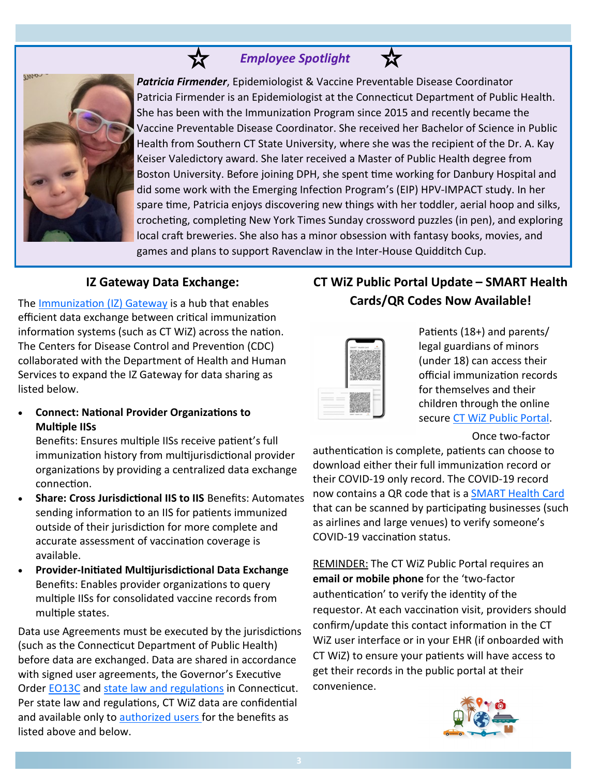### *<u>A</u> <i>Employee Spotlight*



*Patricia Firmender*, Epidemiologist & Vaccine Preventable Disease Coordinator Patricia Firmender is an Epidemiologist at the Connecticut Department of Public Health. She has been with the Immunization Program since 2015 and recently became the Vaccine Preventable Disease Coordinator. She received her Bachelor of Science in Public Health from Southern CT State University, where she was the recipient of the Dr. A. Kay Keiser Valedictory award. She later received a Master of Public Health degree from Boston University. Before joining DPH, she spent time working for Danbury Hospital and did some work with the Emerging Infection Program's (EIP) HPV-IMPACT study. In her spare time, Patricia enjoys discovering new things with her toddler, aerial hoop and silks, crocheting, completing New York Times Sunday crossword puzzles (in pen), and exploring local craft breweries. She also has a minor obsession with fantasy books, movies, and games and plans to support Ravenclaw in the Inter-House Quidditch Cup.

松

#### **IZ Gateway Data Exchange:**

The [Immunization \(IZ\) Gateway](https://www.cdc.gov/vaccines/covid-19/reporting/iz-gateway/information-sheet.html) is a hub that enables efficient data exchange between critical immunization information systems (such as CT WiZ) across the nation. The Centers for Disease Control and Prevention (CDC) collaborated with the Department of Health and Human Services to expand the IZ Gateway for data sharing as listed below.

• **Connect: National Provider Organizations to Multiple IISs** 

Benefits: Ensures multiple IISs receive patient's full immunization history from multijurisdictional provider organizations by providing a centralized data exchange connection.

- **Share: Cross Jurisdictional IIS to IIS** Benefits: Automates sending information to an IIS for patients immunized outside of their jurisdiction for more complete and accurate assessment of vaccination coverage is available.
- **Provider-Initiated Multijurisdictional Data Exchange** Benefits: Enables provider organizations to query multiple IISs for consolidated vaccine records from multiple states.

Data use Agreements must be executed by the jurisdictions (such as the Connecticut Department of Public Health) before data are exchanged. Data are shared in accordance with signed user agreements, the Governor's Executive Order [EO13C](https://portal.ct.gov/Office-of-the-Governor/Governors-Actions/Executive-Orders) and [state law and regulations](https://portal.ct.gov/DPH/Immunizations/Immunization--Laws-and-Regulations) in Connecticut. Per state law and regulations, CT WiZ data are confidential and available only to [authorized users fo](https://portal.ct.gov/-/media/Departments-and-Agencies/DPH/dph/infectious_diseases/immunization/CT-WiZ-Training-material-2020/User-Account/CT-WiZ-User-Account-Roles-9-2021.pdf)r the benefits as listed above and below.

### **CT WiZ Public Portal Update – SMART Health Cards/QR Codes Now Available!**

Patients (18+) and parents/ legal guardians of minors (under 18) can access their official immunization records for themselves and their children through the online secure CT WiZ Public Portal.

#### Once two-factor

authentication is complete, patients can choose to download either their full immunization record or their COVID-19 only record. The COVID-19 record now contains a QR code that is a [SMART Health Card](https://portal.ct.gov/DPH/Immunizations/CT-WiZ-Access-My-Immunization-Record#What%20is%20a%20SMART%20Health%20Card) that can be scanned by participating businesses (such as airlines and large venues) to verify someone's COVID-19 vaccination status.

REMINDER: The CT WiZ Public Portal requires an **email or mobile phone** for the 'two-factor authentication' to verify the identity of the requestor. At each vaccination visit, providers should confirm/update this contact information in the CT WiZ user interface or in your EHR (if onboarded with CT WiZ) to ensure your patients will have access to get their records in the public portal at their convenience.